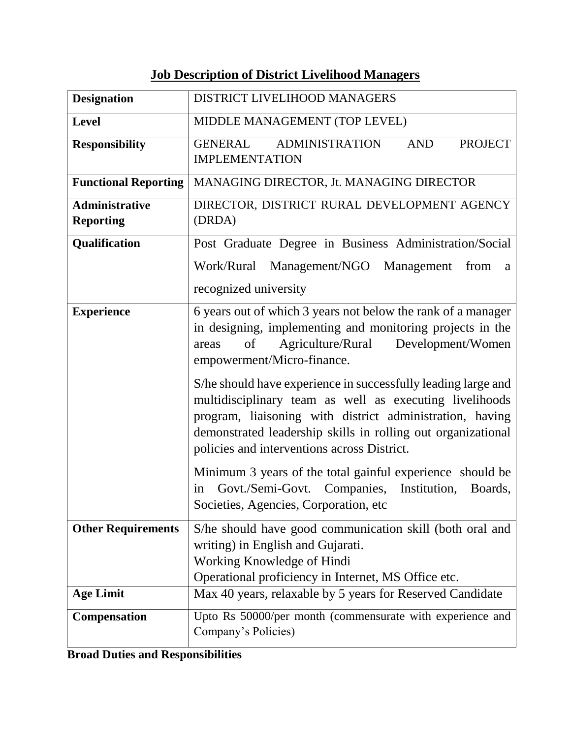## **Job Description of District Livelihood Managers**

| <b>Designation</b>                        | DISTRICT LIVELIHOOD MANAGERS                                                                                                                                                                                                                                                                        |
|-------------------------------------------|-----------------------------------------------------------------------------------------------------------------------------------------------------------------------------------------------------------------------------------------------------------------------------------------------------|
| <b>Level</b>                              | MIDDLE MANAGEMENT (TOP LEVEL)                                                                                                                                                                                                                                                                       |
| <b>Responsibility</b>                     | <b>ADMINISTRATION</b><br><b>GENERAL</b><br><b>AND</b><br><b>PROJECT</b><br><b>IMPLEMENTATION</b>                                                                                                                                                                                                    |
| <b>Functional Reporting</b>               | MANAGING DIRECTOR, Jt. MANAGING DIRECTOR                                                                                                                                                                                                                                                            |
| <b>Administrative</b><br><b>Reporting</b> | DIRECTOR, DISTRICT RURAL DEVELOPMENT AGENCY<br>(DRDA)                                                                                                                                                                                                                                               |
| Qualification                             | Post Graduate Degree in Business Administration/Social                                                                                                                                                                                                                                              |
|                                           | Work/Rural<br>Management/NGO<br>Management<br>from<br>a                                                                                                                                                                                                                                             |
|                                           | recognized university                                                                                                                                                                                                                                                                               |
| <b>Experience</b>                         | 6 years out of which 3 years not below the rank of a manager<br>in designing, implementing and monitoring projects in the<br>Agriculture/Rural<br>Development/Women<br>of<br>areas<br>empowerment/Micro-finance.                                                                                    |
|                                           | S/he should have experience in successfully leading large and<br>multidisciplinary team as well as executing livelihoods<br>program, liaisoning with district administration, having<br>demonstrated leadership skills in rolling out organizational<br>policies and interventions across District. |
|                                           | Minimum 3 years of the total gainful experience should be<br>Govt./Semi-Govt. Companies, Institution,<br>Boards,<br>in<br>Societies, Agencies, Corporation, etc                                                                                                                                     |
| <b>Other Requirements</b>                 | S/he should have good communication skill (both oral and<br>writing) in English and Gujarati.<br>Working Knowledge of Hindi<br>Operational proficiency in Internet, MS Office etc.                                                                                                                  |
| <b>Age Limit</b>                          | Max 40 years, relaxable by 5 years for Reserved Candidate                                                                                                                                                                                                                                           |
| Compensation                              | Upto Rs 50000/per month (commensurate with experience and<br>Company's Policies)                                                                                                                                                                                                                    |

**Broad Duties and Responsibilities**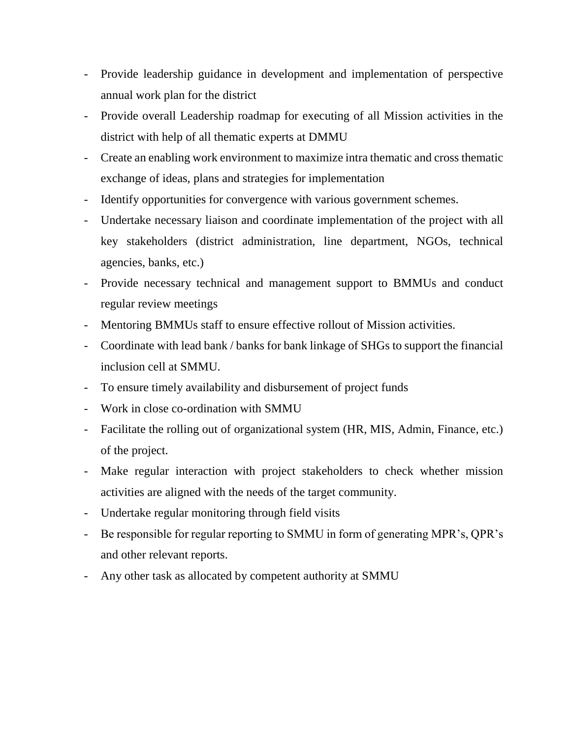- Provide leadership guidance in development and implementation of perspective annual work plan for the district
- Provide overall Leadership roadmap for executing of all Mission activities in the district with help of all thematic experts at DMMU
- Create an enabling work environment to maximize intra thematic and cross thematic exchange of ideas, plans and strategies for implementation
- Identify opportunities for convergence with various government schemes.
- Undertake necessary liaison and coordinate implementation of the project with all key stakeholders (district administration, line department, NGOs, technical agencies, banks, etc.)
- Provide necessary technical and management support to BMMUs and conduct regular review meetings
- Mentoring BMMUs staff to ensure effective rollout of Mission activities.
- Coordinate with lead bank / banks for bank linkage of SHGs to support the financial inclusion cell at SMMU.
- To ensure timely availability and disbursement of project funds
- Work in close co-ordination with SMMU
- Facilitate the rolling out of organizational system (HR, MIS, Admin, Finance, etc.) of the project.
- Make regular interaction with project stakeholders to check whether mission activities are aligned with the needs of the target community.
- Undertake regular monitoring through field visits
- Be responsible for regular reporting to SMMU in form of generating MPR's, QPR's and other relevant reports.
- Any other task as allocated by competent authority at SMMU